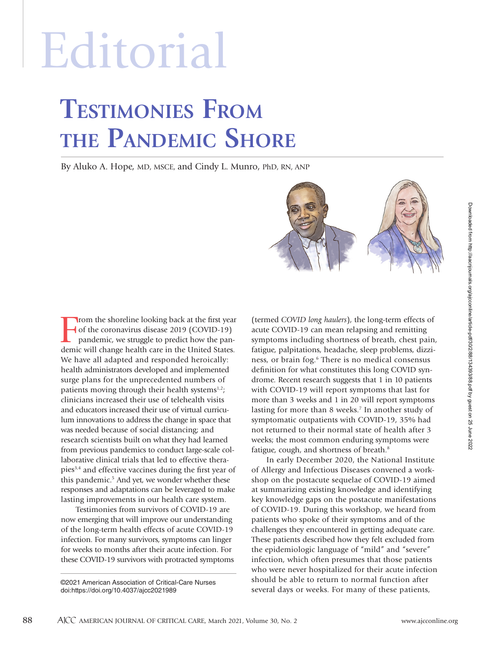# Editorial

# **TESTIMONIES FROM THE PANDEMIC SHORE**

By Aluko A. Hope, MD, MSCE, and Cindy L. Munro, PhD, RN, ANP



Testimonies from survivors of COVID-19 are now emerging that will improve our understanding of the long-term health effects of acute COVID-19 infection. For many survivors, symptoms can linger for weeks to months after their acute infection. For these COVID-19 survivors with protracted symptoms

©2021 American Association of Critical-Care Nurses doi:https://doi.org/10.4037/ajcc2021989

(termed *COVID long haulers*), the long-term effects of acute COVID-19 can mean relapsing and remitting symptoms including shortness of breath, chest pain, fatigue, palpitations, headache, sleep problems, dizziness, or brain fog.<sup>6</sup> There is no medical consensus definition for what constitutes this long COVID syndrome. Recent research suggests that 1 in 10 patients with COVID-19 will report symptoms that last for more than 3 weeks and 1 in 20 will report symptoms lasting for more than 8 weeks.7 In another study of symptomatic outpatients with COVID-19, 35% had not returned to their normal state of health after 3 weeks; the most common enduring symptoms were fatigue, cough, and shortness of breath.8

In early December 2020, the National Institute of Allergy and Infectious Diseases convened a workshop on the postacute sequelae of COVID-19 aimed at summarizing existing knowledge and identifying key knowledge gaps on the postacute manifestations of COVID-19. During this workshop, we heard from patients who spoke of their symptoms and of the challenges they encountered in getting adequate care. These patients described how they felt excluded from the epidemiologic language of "mild" and "severe" infection, which often presumes that those patients who were never hospitalized for their acute infection should be able to return to normal function after several days or weeks. For many of these patients,

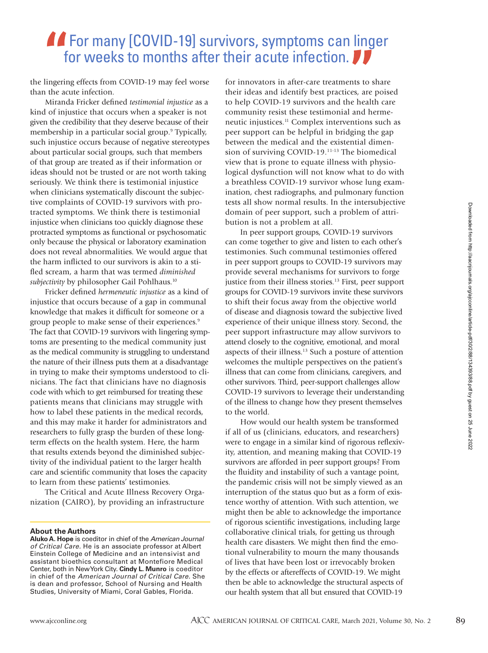## **AF** For many [COVID-19] survivors, symptoms can linger for weeks to months after their acute infection.

the lingering effects from COVID-19 may feel worse than the acute infection.

Miranda Fricker defined *testimonial injustice* as a kind of injustice that occurs when a speaker is not given the credibility that they deserve because of their membership in a particular social group.9 Typically, such injustice occurs because of negative stereotypes about particular social groups, such that members of that group are treated as if their information or ideas should not be trusted or are not worth taking seriously. We think there is testimonial injustice when clinicians systematically discount the subjective complaints of COVID-19 survivors with protracted symptoms. We think there is testimonial injustice when clinicians too quickly diagnose these protracted symptoms as functional or psychosomatic only because the physical or laboratory examination does not reveal abnormalities. We would argue that the harm inflicted to our survivors is akin to a stifled scream, a harm that was termed *diminished*  subjectivity by philosopher Gail Pohlhaus.<sup>10</sup>

Fricker defined *hermeneutic injustice* as a kind of injustice that occurs because of a gap in communal knowledge that makes it difficult for someone or a group people to make sense of their experiences.<sup>9</sup> The fact that COVID-19 survivors with lingering symptoms are presenting to the medical community just as the medical community is struggling to understand the nature of their illness puts them at a disadvantage in trying to make their symptoms understood to clinicians. The fact that clinicians have no diagnosis code with which to get reimbursed for treating these patients means that clinicians may struggle with how to label these patients in the medical records, and this may make it harder for administrators and researchers to fully grasp the burden of these longterm effects on the health system. Here, the harm that results extends beyond the diminished subjectivity of the individual patient to the larger health care and scientific community that loses the capacity to learn from these patients' testimonies.

The Critical and Acute Illness Recovery Organization (CAIRO), by providing an infrastructure

#### **About the Authors**

**Aluko A. Hope** is coeditor in chief of the American Journal of Critical Care. He is an associate professor at Albert Einstein College of Medicine and an intensivist and assistant bioethics consultant at Montefiore Medical Center, both in New York City. **Cindy L. Munro** is coeditor in chief of the American Journal of Critical Care. She is dean and professor, School of Nursing and Health Studies, University of Miami, Coral Gables, Florida.

for innovators in after-care treatments to share their ideas and identify best practices, are poised to help COVID-19 survivors and the health care community resist these testimonial and hermeneutic injustices.11 Complex interventions such as peer support can be helpful in bridging the gap between the medical and the existential dimension of surviving COVID-19.11-13 The biomedical view that is prone to equate illness with physiological dysfunction will not know what to do with a breathless COVID-19 survivor whose lung examination, chest radiographs, and pulmonary function tests all show normal results. In the intersubjective domain of peer support, such a problem of attribution is not a problem at all.

In peer support groups, COVID-19 survivors can come together to give and listen to each other's testimonies. Such communal testimonies offered in peer support groups to COVID-19 survivors may provide several mechanisms for survivors to forge justice from their illness stories.<sup>13</sup> First, peer support groups for COVID-19 survivors invite these survivors to shift their focus away from the objective world of disease and diagnosis toward the subjective lived experience of their unique illness story. Second, the peer support infrastructure may allow survivors to attend closely to the cognitive, emotional, and moral aspects of their illness.13 Such a posture of attention welcomes the multiple perspectives on the patient's illness that can come from clinicians, caregivers, and other survivors. Third, peer-support challenges allow COVID-19 survivors to leverage their understanding of the illness to change how they present themselves to the world.

How would our health system be transformed if all of us (clinicians, educators, and researchers) were to engage in a similar kind of rigorous reflexivity, attention, and meaning making that COVID-19 survivors are afforded in peer support groups? From the fluidity and instability of such a vantage point, the pandemic crisis will not be simply viewed as an interruption of the status quo but as a form of existence worthy of attention. With such attention, we might then be able to acknowledge the importance of rigorous scientific investigations, including large collaborative clinical trials, for getting us through health care disasters. We might then find the emotional vulnerability to mourn the many thousands of lives that have been lost or irrevocably broken by the effects or aftereffects of COVID-19. We might then be able to acknowledge the structural aspects of our health system that all but ensured that COVID-19